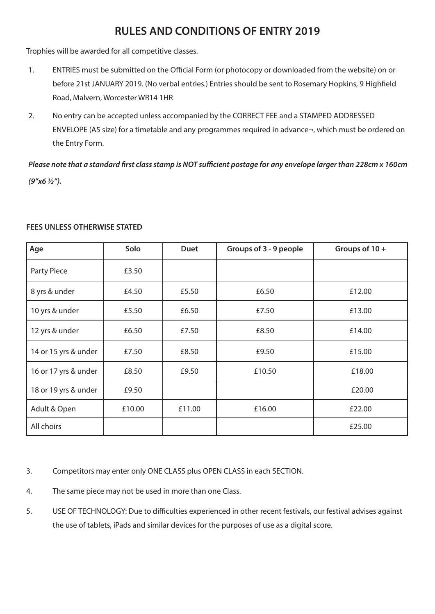# **RULES AND CONDITIONS OF ENTRY 2019**

Trophies will be awarded for all competitive classes.

- 1. ENTRIES must be submitted on the Official Form (or photocopy or downloaded from the website) on or before 21st JANUARY 2019. (No verbal entries.) Entries should be sent to Rosemary Hopkins, 9 Highfield Road, Malvern, Worcester WR14 1HR
- 2. No entry can be accepted unless accompanied by the CORRECT FEE and a STAMPED ADDRESSED ENVELOPE (A5 size) for a timetable and any programmes required in advance¬, which must be ordered on the Entry Form.

*Please note that a standard first class stamp is NOT sufficient postage for any envelope larger than 228cm x 160cm (9"x6 ½").* 

| Age                  | Solo   | <b>Duet</b> | Groups of 3 - 9 people | Groups of 10+ |
|----------------------|--------|-------------|------------------------|---------------|
| Party Piece          | £3.50  |             |                        |               |
| 8 yrs & under        | £4.50  | £5.50       | £6.50                  | £12.00        |
| 10 yrs & under       | £5.50  | £6.50       | £7.50                  | £13.00        |
| 12 yrs & under       | £6.50  | £7.50       | £8.50                  | £14.00        |
| 14 or 15 yrs & under | £7.50  | £8.50       | £9.50                  | £15.00        |
| 16 or 17 yrs & under | £8.50  | £9.50       | £10.50                 | £18.00        |
| 18 or 19 yrs & under | £9.50  |             |                        | £20.00        |
| Adult & Open         | £10.00 | £11.00      | £16.00                 | £22.00        |
| All choirs           |        |             |                        | £25.00        |

# **FEES UNLESS OTHERWISE STATED**

3. Competitors may enter only ONE CLASS plus OPEN CLASS in each SECTION.

- 4. The same piece may not be used in more than one Class.
- 5. USE OF TECHNOLOGY: Due to difficulties experienced in other recent festivals, our festival advises against the use of tablets, iPads and similar devices for the purposes of use as a digital score.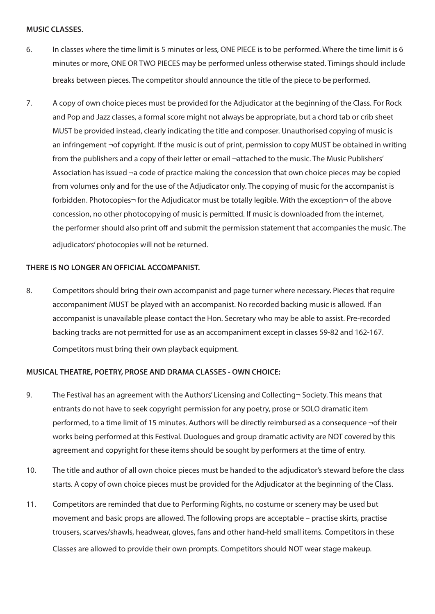#### **MUSIC CLASSES.**

- 6. In classes where the time limit is 5 minutes or less, ONE PIECE is to be performed. Where the time limit is 6 minutes or more, ONE OR TWO PIECES may be performed unless otherwise stated. Timings should include breaks between pieces. The competitor should announce the title of the piece to be performed.
- 7. A copy of own choice pieces must be provided for the Adjudicator at the beginning of the Class. For Rock and Pop and Jazz classes, a formal score might not always be appropriate, but a chord tab or crib sheet MUST be provided instead, clearly indicating the title and composer. Unauthorised copying of music is an infringement  $\neg$  of copyright. If the music is out of print, permission to copy MUST be obtained in writing from the publishers and a copy of their letter or email ¬attached to the music. The Music Publishers' Association has issued ¬a code of practice making the concession that own choice pieces may be copied from volumes only and for the use of the Adjudicator only. The copying of music for the accompanist is forbidden. Photocopies¬ for the Adjudicator must be totally legible. With the exception¬ of the above concession, no other photocopying of music is permitted. If music is downloaded from the internet, the performer should also print off and submit the permission statement that accompanies the music. The adjudicators' photocopies will not be returned.

# **THERE IS NO LONGER AN OFFICIAL ACCOMPANIST.**

8. Competitors should bring their own accompanist and page turner where necessary. Pieces that require accompaniment MUST be played with an accompanist. No recorded backing music is allowed. If an accompanist is unavailable please contact the Hon. Secretary who may be able to assist. Pre-recorded backing tracks are not permitted for use as an accompaniment except in classes 59-82 and 162-167. Competitors must bring their own playback equipment.

# **MUSICAL THEATRE, POETRY, PROSE AND DRAMA CLASSES - OWN CHOICE:**

- 9. The Festival has an agreement with the Authors' Licensing and Collecting Society. This means that entrants do not have to seek copyright permission for any poetry, prose or SOLO dramatic item performed, to a time limit of 15 minutes. Authors will be directly reimbursed as a consequence ¬of their works being performed at this Festival. Duologues and group dramatic activity are NOT covered by this agreement and copyright for these items should be sought by performers at the time of entry.
- 10. The title and author of all own choice pieces must be handed to the adjudicator's steward before the class starts. A copy of own choice pieces must be provided for the Adjudicator at the beginning of the Class.
- 11. Competitors are reminded that due to Performing Rights, no costume or scenery may be used but movement and basic props are allowed. The following props are acceptable – practise skirts, practise trousers, scarves/shawls, headwear, gloves, fans and other hand-held small items. Competitors in these Classes are allowed to provide their own prompts. Competitors should NOT wear stage makeup.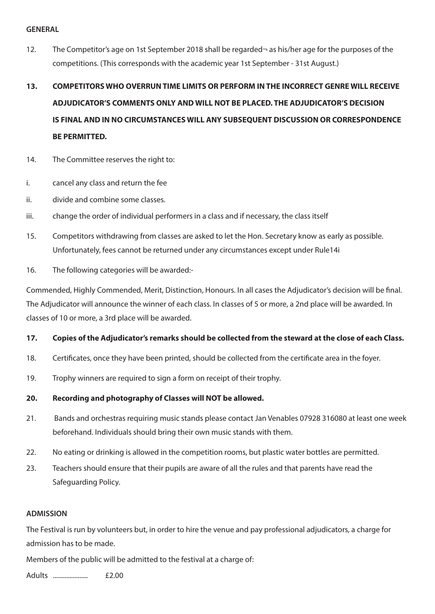#### **GENERAL**

12. The Competitor's age on 1st September 2018 shall be regarded-as his/her age for the purposes of the competitions. (This corresponds with the academic year 1st September - 31st August.)

# **13. COMPETITORS WHO OVERRUN TIME LIMITS OR PERFORM IN THE INCORRECT GENRE WILL RECEIVE ADJUDICATOR'S COMMENTS ONLY AND WILL NOT BE PLACED. THE ADJUDICATOR'S DECISION IS FINAL AND IN NO CIRCUMSTANCES WILL ANY SUBSEQUENT DISCUSSION OR CORRESPONDENCE BE PERMITTED.**

- 14. The Committee reserves the right to:
- i. cancel any class and return the fee
- ii. divide and combine some classes.
- iii. change the order of individual performers in a class and if necessary, the class itself
- 15. Competitors withdrawing from classes are asked to let the Hon. Secretary know as early as possible. Unfortunately, fees cannot be returned under any circumstances except under Rule14i
- 16. The following categories will be awarded:-

Commended, Highly Commended, Merit, Distinction, Honours. In all cases the Adjudicator's decision will be final. The Adjudicator will announce the winner of each class. In classes of 5 or more, a 2nd place will be awarded. In classes of 10 or more, a 3rd place will be awarded.

# **17. Copies of the Adjudicator's remarks should be collected from the steward at the close of each Class.**

- 18. Certificates, once they have been printed, should be collected from the certificate area in the foyer.
- 19. Trophy winners are required to sign a form on receipt of their trophy.

# **20. Recording and photography of Classes will NOT be allowed.**

- 21. Bands and orchestras requiring music stands please contact Jan Venables 07928 316080 at least one week beforehand. Individuals should bring their own music stands with them.
- 22. No eating or drinking is allowed in the competition rooms, but plastic water bottles are permitted.
- 23. Teachers should ensure that their pupils are aware of all the rules and that parents have read the Safeguarding Policy.

# **ADMISSION**

The Festival is run by volunteers but, in order to hire the venue and pay professional adjudicators, a charge for admission has to be made.

Members of the public will be admitted to the festival at a charge of:

Adults ..................... £2.00